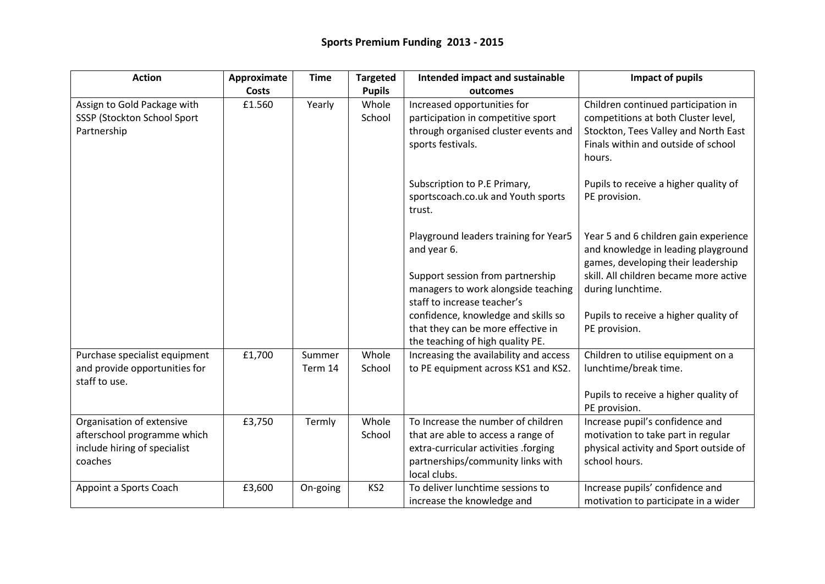| <b>Action</b>                                                                                       | Approximate  | <b>Time</b>       | <b>Targeted</b> | Intended impact and sustainable                                                                                                                                       | Impact of pupils                                                                                                                                                                  |
|-----------------------------------------------------------------------------------------------------|--------------|-------------------|-----------------|-----------------------------------------------------------------------------------------------------------------------------------------------------------------------|-----------------------------------------------------------------------------------------------------------------------------------------------------------------------------------|
|                                                                                                     | <b>Costs</b> |                   | <b>Pupils</b>   | outcomes                                                                                                                                                              |                                                                                                                                                                                   |
| Assign to Gold Package with<br>SSSP (Stockton School Sport<br>Partnership                           | £1.560       | Yearly            | Whole<br>School | Increased opportunities for<br>participation in competitive sport<br>through organised cluster events and<br>sports festivals.                                        | Children continued participation in<br>competitions at both Cluster level,<br>Stockton, Tees Valley and North East<br>Finals within and outside of school<br>hours.               |
|                                                                                                     |              |                   |                 | Subscription to P.E Primary,<br>sportscoach.co.uk and Youth sports<br>trust.                                                                                          | Pupils to receive a higher quality of<br>PE provision.                                                                                                                            |
|                                                                                                     |              |                   |                 | Playground leaders training for Year5<br>and year 6.<br>Support session from partnership<br>managers to work alongside teaching                                       | Year 5 and 6 children gain experience<br>and knowledge in leading playground<br>games, developing their leadership<br>skill. All children became more active<br>during lunchtime. |
|                                                                                                     |              |                   |                 | staff to increase teacher's<br>confidence, knowledge and skills so<br>that they can be more effective in<br>the teaching of high quality PE.                          | Pupils to receive a higher quality of<br>PE provision.                                                                                                                            |
| Purchase specialist equipment<br>and provide opportunities for<br>staff to use.                     | £1,700       | Summer<br>Term 14 | Whole<br>School | Increasing the availability and access<br>to PE equipment across KS1 and KS2.                                                                                         | Children to utilise equipment on a<br>lunchtime/break time.<br>Pupils to receive a higher quality of<br>PE provision.                                                             |
| Organisation of extensive<br>afterschool programme which<br>include hiring of specialist<br>coaches | £3,750       | Termly            | Whole<br>School | To Increase the number of children<br>that are able to access a range of<br>extra-curricular activities .forging<br>partnerships/community links with<br>local clubs. | Increase pupil's confidence and<br>motivation to take part in regular<br>physical activity and Sport outside of<br>school hours.                                                  |
| Appoint a Sports Coach                                                                              | £3,600       | On-going          | KS <sub>2</sub> | To deliver lunchtime sessions to<br>increase the knowledge and                                                                                                        | Increase pupils' confidence and<br>motivation to participate in a wider                                                                                                           |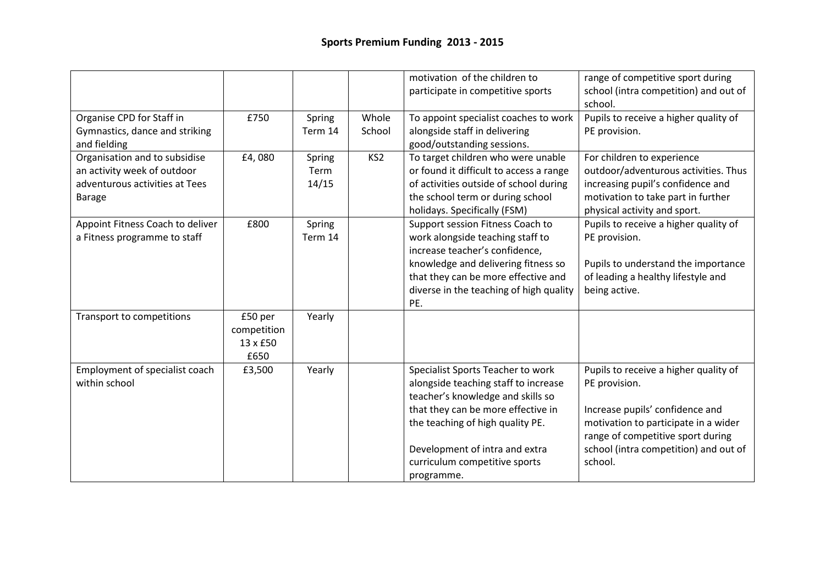|                                  |             |         |                 | motivation of the children to           | range of competitive sport during     |
|----------------------------------|-------------|---------|-----------------|-----------------------------------------|---------------------------------------|
|                                  |             |         |                 | participate in competitive sports       | school (intra competition) and out of |
|                                  |             |         |                 |                                         | school.                               |
| Organise CPD for Staff in        | £750        | Spring  | Whole           | To appoint specialist coaches to work   | Pupils to receive a higher quality of |
| Gymnastics, dance and striking   |             | Term 14 | School          | alongside staff in delivering           | PE provision.                         |
| and fielding                     |             |         |                 | good/outstanding sessions.              |                                       |
| Organisation and to subsidise    | £4,080      | Spring  | KS <sub>2</sub> | To target children who were unable      | For children to experience            |
| an activity week of outdoor      |             | Term    |                 | or found it difficult to access a range | outdoor/adventurous activities. Thus  |
| adventurous activities at Tees   |             | 14/15   |                 | of activities outside of school during  | increasing pupil's confidence and     |
| <b>Barage</b>                    |             |         |                 | the school term or during school        | motivation to take part in further    |
|                                  |             |         |                 | holidays. Specifically (FSM)            | physical activity and sport.          |
| Appoint Fitness Coach to deliver | £800        | Spring  |                 | Support session Fitness Coach to        | Pupils to receive a higher quality of |
| a Fitness programme to staff     |             | Term 14 |                 | work alongside teaching staff to        | PE provision.                         |
|                                  |             |         |                 | increase teacher's confidence,          |                                       |
|                                  |             |         |                 | knowledge and delivering fitness so     | Pupils to understand the importance   |
|                                  |             |         |                 | that they can be more effective and     | of leading a healthy lifestyle and    |
|                                  |             |         |                 | diverse in the teaching of high quality | being active.                         |
|                                  |             |         |                 | PE.                                     |                                       |
| Transport to competitions        | £50 per     | Yearly  |                 |                                         |                                       |
|                                  | competition |         |                 |                                         |                                       |
|                                  | 13 x £50    |         |                 |                                         |                                       |
|                                  | £650        |         |                 |                                         |                                       |
| Employment of specialist coach   | £3,500      | Yearly  |                 | Specialist Sports Teacher to work       | Pupils to receive a higher quality of |
| within school                    |             |         |                 | alongside teaching staff to increase    | PE provision.                         |
|                                  |             |         |                 | teacher's knowledge and skills so       |                                       |
|                                  |             |         |                 | that they can be more effective in      | Increase pupils' confidence and       |
|                                  |             |         |                 | the teaching of high quality PE.        | motivation to participate in a wider  |
|                                  |             |         |                 |                                         | range of competitive sport during     |
|                                  |             |         |                 | Development of intra and extra          | school (intra competition) and out of |
|                                  |             |         |                 | curriculum competitive sports           | school.                               |
|                                  |             |         |                 | programme.                              |                                       |